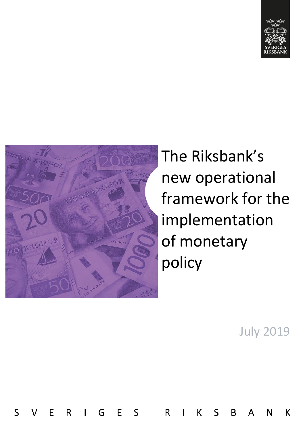



E

S

R

G

 $\mathbf{I}$ 

E

 $\mathsf{S}$ 

R

K

S

B

Δ

The Riksbank's new operational framework for the implementation of monetary policy

July 2019

К

N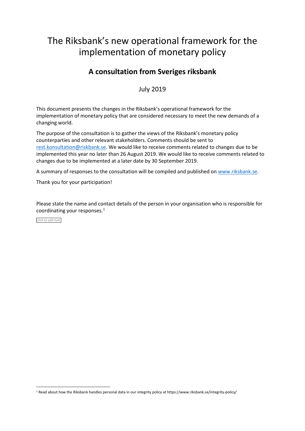# The Riksbank's new operational framework for the implementation of monetary policy

## **A consultation from Sveriges riksbank**

July 2019

This document presents the changes in the Riksbank's operational framework for the implementation of monetary policy that are considered necessary to meet the new demands of a changing world.

The purpose of the consultation is to gather the views of the Riksbank's monetary policy counterparties and other relevant stakeholders. Comments should be sent to [rest.konsultation@riskbank.se.](mailto:rest.konsultation@riksbank.se) We would like to receive comments related to changes due to be implemented this year no later than 26 August 2019. We would like to receive comments related to changes due to be implemented at a later date by 30 September 2019.

A summary of responses to the consultation will be compiled and published o[n www.riksbank.se.](http://www.riksbank.se/)

Thank you for your participation!

Please state the name and contact details of the person in your organisation who is responsible for coordinating your responses.<sup>[1](#page-1-0)</sup>

Click to add text.

<span id="page-1-0"></span> <sup>1</sup> Read about how the Riksbank handles personal data in our integrity policy at https://www.riksbank.se/integrity-policy/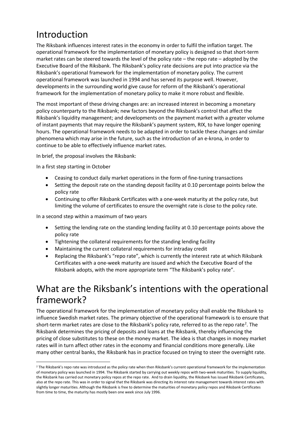# Introduction

The Riksbank influences interest rates in the economy in order to fulfil the inflation target. The operational framework for the implementation of monetary policy is designed so that short-term market rates can be steered towards the level of the policy rate – the repo rate – adopted by the Executive Board of the Riksbank. The Riksbank's policy rate decisions are put into practice via the Riksbank's operational framework for the implementation of monetary policy. The current operational framework was launched in 1994 and has served its purpose well. However, developments in the surrounding world give cause for reform of the Riksbank's operational framework for the implementation of monetary policy to make it more robust and flexible.

The most important of these driving changes are: an increased interest in becoming a monetary policy counterparty to the Riksbank; new factors beyond the Riksbank's control that affect the Riksbank's liquidity management; and developments on the payment market with a greater volume of instant payments that may require the Riksbank's payment system, RIX, to have longer opening hours. The operational framework needs to be adapted in order to tackle these changes and similar phenomena which may arise in the future, such as the introduction of an e-krona, in order to continue to be able to effectively influence market rates.

In brief, the proposal involves the Riksbank:

In a first step starting in October

- Ceasing to conduct daily market operations in the form of fine-tuning transactions
- Setting the deposit rate on the standing deposit facility at 0.10 percentage points below the policy rate
- Continuing to offer Riksbank Certificates with a one-week maturity at the policy rate, but limiting the volume of certificates to ensure the overnight rate is close to the policy rate.

In a second step within a maximum of two years

- Setting the lending rate on the standing lending facility at 0.10 percentage points above the policy rate
- Tightening the collateral requirements for the standing lending facility
- Maintaining the current collateral requirements for intraday credit
- Replacing the Riksbank's "repo rate", which is currently the interest rate at which Riksbank Certificates with a one-week maturity are issued and which the Executive Board of the Riksbank adopts, with the more appropriate term "The Riksbank's policy rate".

# What are the Riksbank's intentions with the operational framework?

The operational framework for the implementation of monetary policy shall enable the Riksbank to influence Swedish market rates. The primary objective of the operational framework is to ensure that short-term market rates are close to the Riksbank's policy rate, referred to as the repo rate<sup>[2](#page-2-0)</sup>. The Riksbank determines the pricing of deposits and loans at the Riksbank, thereby influencing the pricing of close substitutes to these on the money market. The idea is that changes in money market rates will in turn affect other rates in the economy and financial conditions more generally. Like many other central banks, the Riksbank has in practice focused on trying to steer the overnight rate.

<span id="page-2-0"></span><sup>&</sup>lt;sup>2</sup> The Riksbank's repo rate was introduced as the policy rate when then Riksbank's current operational framework for the implementation of monetary policy was launched in 1994. The Riksbank started by carrying out weekly repos with two-week maturities. To supply liquidity, the Riksbank has carried out monetary policy repos at the repo rate. And to drain liquidity, the Riksbank has issued Riksbank Certificates, also at the repo rate. This was in order to signal that the Riksbank was directing its interest rate management towards interest rates with slightly longer maturities. Although the Riksbank is free to determine the maturities of monetary policy repos and Riksbank Certificates from time to time, the maturity has mostly been one week since July 1996.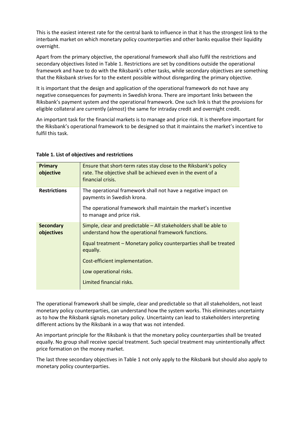This is the easiest interest rate for the central bank to influence in that it has the strongest link to the interbank market on which monetary policy counterparties and other banks equalise their liquidity overnight.

Apart from the primary objective, the operational framework shall also fulfil the restrictions and secondary objectives listed in Table 1. Restrictions are set by conditions outside the operational framework and have to do with the Riksbank's other tasks, while secondary objectives are something that the Riksbank strives for to the extent possible without disregarding the primary objective.

It is important that the design and application of the operational framework do not have any negative consequences for payments in Swedish krona. There are important links between the Riksbank's payment system and the operational framework. One such link is that the provisions for eligible collateral are currently (almost) the same for intraday credit and overnight credit.

An important task for the financial markets is to manage and price risk. It is therefore important for the Riksbank's operational framework to be designed so that it maintains the market's incentive to fulfil this task.

| <b>Primary</b><br>objective    | Ensure that short-term rates stay close to the Riksbank's policy<br>rate. The objective shall be achieved even in the event of a<br>financial crisis.                                                                                                                                             |
|--------------------------------|---------------------------------------------------------------------------------------------------------------------------------------------------------------------------------------------------------------------------------------------------------------------------------------------------|
| <b>Restrictions</b>            | The operational framework shall not have a negative impact on<br>payments in Swedish krona.<br>The operational framework shall maintain the market's incentive<br>to manage and price risk.                                                                                                       |
| <b>Secondary</b><br>objectives | Simple, clear and predictable – All stakeholders shall be able to<br>understand how the operational framework functions.<br>Equal treatment – Monetary policy counterparties shall be treated<br>equally.<br>Cost-efficient implementation.<br>Low operational risks.<br>Limited financial risks. |

### **Table 1. List of objectives and restrictions**

The operational framework shall be simple, clear and predictable so that all stakeholders, not least monetary policy counterparties, can understand how the system works. This eliminates uncertainty as to how the Riksbank signals monetary policy. Uncertainty can lead to stakeholders interpreting different actions by the Riksbank in a way that was not intended.

An important principle for the Riksbank is that the monetary policy counterparties shall be treated equally. No group shall receive special treatment. Such special treatment may unintentionally affect price formation on the money market.

The last three secondary objectives in Table 1 not only apply to the Riksbank but should also apply to monetary policy counterparties.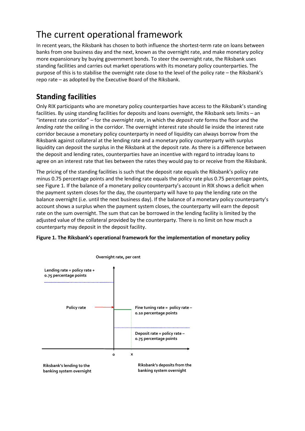# The current operational framework

In recent years, the Riksbank has chosen to both influence the shortest-term rate on loans between banks from one business day and the next, known as the overnight rate, and make monetary policy more expansionary by buying government bonds. To steer the overnight rate, the Riksbank uses standing facilities and carries out market operations with its monetary policy counterparties. The purpose of this is to stabilise the overnight rate close to the level of the policy rate – the Riksbank's repo rate – as adopted by the Executive Board of the Riksbank.

## **Standing facilities**

Only RIX participants who are monetary policy counterparties have access to the Riksbank's standing facilities. By using standing facilities for deposits and loans overnight, the Riksbank sets limits – an "interest rate corridor" – for the *overnight rate*, in which the *deposit rate* forms the floor and the *lending rate* the ceiling in the corridor. The overnight interest rate should lie inside the interest rate corridor because a monetary policy counterparty in need of liquidity can always borrow from the Riksbank against collateral at the lending rate and a monetary policy counterparty with surplus liquidity can deposit the surplus in the Riksbank at the deposit rate. As there is a difference between the deposit and lending rates, counterparties have an incentive with regard to intraday loans to agree on an interest rate that lies between the rates they would pay to or receive from the Riksbank.

The pricing of the standing facilities is such that the deposit rate equals the Riksbank's policy rate minus 0.75 percentage points and the lending rate equals the policy rate plus 0.75 percentage points, see Figure 1. If the balance of a monetary policy counterparty's account in RIX shows a deficit when the payment system closes for the day, the counterparty will have to pay the lending rate on the balance overnight (i.e. until the next business day). If the balance of a monetary policy counterparty's account shows a surplus when the payment system closes, the counterparty will earn the deposit rate on the sum overnight. The sum that can be borrowed in the lending facility is limited by the adjusted value of the collateral provided by the counterparty. There is no limit on how much a counterparty may deposit in the deposit facility.



### **Figure 1. The Riksbank's operational framework for the implementation of monetary policy**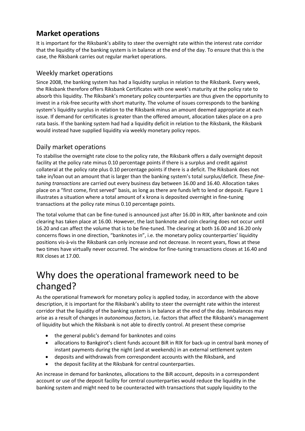## **Market operations**

It is important for the Riksbank's ability to steer the overnight rate within the interest rate corridor that the liquidity of the banking system is in balance at the end of the day. To ensure that this is the case, the Riksbank carries out regular market operations.

### Weekly market operations

Since 2008, the banking system has had a liquidity surplus in relation to the Riksbank. Every week, the Riksbank therefore offers Riksbank Certificates with one week's maturity at the policy rate to absorb this liquidity. The Riksbank's monetary policy counterparties are thus given the opportunity to invest in a risk-free security with short maturity. The volume of issues corresponds to the banking system's liquidity surplus in relation to the Riksbank minus an amount deemed appropriate at each issue. If demand for certificates is greater than the offered amount, allocation takes place on a pro rata basis. If the banking system had had a liquidity deficit in relation to the Riksbank, the Riksbank would instead have supplied liquidity via weekly monetary policy repos.

### Daily market operations

To stabilise the overnight rate close to the policy rate, the Riksbank offers a daily overnight deposit facility at the policy rate minus 0.10 percentage points if there is a surplus and credit against collateral at the policy rate plus 0.10 percentage points if there is a deficit. The Riksbank does not take in/loan out an amount that is larger than the banking system's total surplus/deficit. These *finetuning transactions* are carried out every business day between 16.00 and 16.40. Allocation takes place on a "first come, first served" basis, as long as there are funds left to lend or deposit. Figure 1 illustrates a situation where a total amount of x krona is deposited overnight in fine-tuning transactions at the policy rate minus 0.10 percentage points.

The total volume that can be fine-tuned is announced just after 16.00 in RIX, after banknote and coin clearing has taken place at 16.00. However, the last banknote and coin clearing does not occur until 16.20 and can affect the volume that is to be fine-tuned. The clearing at both 16.00 and 16.20 only concerns flows in one direction, "banknotes in", i.e. the monetary policy counterparties' liquidity positions vis-à-vis the Riksbank can only increase and not decrease. In recent years, flows at these two times have virtually never occurred. The window for fine-tuning transactions closes at 16.40 and RIX closes at 17.00.

# Why does the operational framework need to be changed?

As the operational framework for monetary policy is applied today, in accordance with the above description, it is important for the Riksbank's ability to steer the overnight rate within the interest corridor that the liquidity of the banking system is in balance at the end of the day. Imbalances may arise as a result of changes in *autonomous factors*, i.e. factors that affect the Riksbank's management of liquidity but which the Riksbank is not able to directly control. At present these comprise

- the general public's demand for banknotes and coins
- allocations to Bankgirot's client funds account BiR in RIX for back-up in central bank money of instant payments during the night (and at weekends) in an external settlement system
- deposits and withdrawals from correspondent accounts with the Riksbank, and
- the deposit facility at the Riksbank for central counterparties.

An increase in demand for banknotes, allocations to the BiR account, deposits in a correspondent account or use of the deposit facility for central counterparties would reduce the liquidity in the banking system and might need to be counteracted with transactions that supply liquidity to the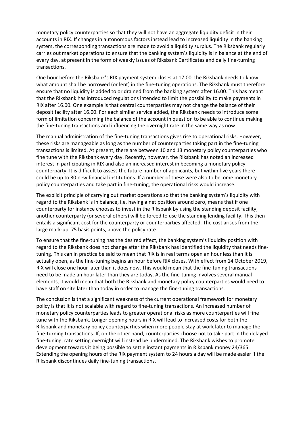monetary policy counterparties so that they will not have an aggregate liquidity deficit in their accounts in RIX. If changes in autonomous factors instead lead to increased liquidity in the banking system, the corresponding transactions are made to avoid a liquidity surplus. The Riksbank regularly carries out market operations to ensure that the banking system's liquidity is in balance at the end of every day, at present in the form of weekly issues of Riksbank Certificates and daily fine-turning transactions.

One hour before the Riksbank's RIX payment system closes at 17.00, the Riksbank needs to know what amount shall be borrowed (or lent) in the fine-tuning operations. The Riksbank must therefore ensure that no liquidity is added to or drained from the banking system after 16.00. This has meant that the Riksbank has introduced regulations intended to limit the possibility to make payments in RIX after 16.00. One example is that central counterparties may not change the balance of their deposit facility after 16.00. For each similar service added, the Riksbank needs to introduce some form of limitation concerning the balance of the account in question to be able to continue making the fine-tuning transactions and influencing the overnight rate in the same way as now.

The manual administration of the fine-tuning transactions gives rise to operational risks. However, these risks are manageable as long as the number of counterparties taking part in the fine-tuning transactions is limited. At present, there are between 10 and 13 monetary policy counterparties who fine tune with the Riksbank every day. Recently, however, the Riksbank has noted an increased interest in participating in RIX and also an increased interest in becoming a monetary policy counterparty. It is difficult to assess the future number of applicants, but within five years there could be up to 30 new financial institutions. If a number of these were also to become monetary policy counterparties and take part in fine-tuning, the operational risks would increase.

The explicit principle of carrying out market operations so that the banking system's liquidity with regard to the Riksbank is in balance, i.e. having a net position around zero, means that if one counterparty for instance chooses to invest in the Riksbank by using the standing deposit facility, another counterparty (or several others) will be forced to use the standing lending facility. This then entails a significant cost for the counterparty or counterparties affected. The cost arises from the large mark-up, 75 basis points, above the policy rate.

To ensure that the fine-tuning has the desired effect, the banking system's liquidity position with regard to the Riksbank does not change after the Riksbank has identified the liquidity that needs finetuning. This can in practice be said to mean that RIX is in real terms open an hour less than it is actually open, as the fine-tuning begins an hour before RIX closes. With effect from 14 October 2019, RIX will close one hour later than it does now. This would mean that the fine-tuning transactions need to be made an hour later than they are today. As the fine-tuning involves several manual elements, it would mean that both the Riksbank and monetary policy counterparties would need to have staff on site later than today in order to manage the fine-tuning transactions.

The conclusion is that a significant weakness of the current operational framework for monetary policy is that it is not scalable with regard to fine-tuning transactions. An increased number of monetary policy counterparties leads to greater operational risks as more counterparties will fine tune with the Riksbank. Longer opening hours in RIX will lead to increased costs for both the Riksbank and monetary policy counterparties when more people stay at work later to manage the fine-turning transactions. If, on the other hand, counterparties choose not to take part in the delayed fine-tuning, rate setting overnight will instead be undermined. The Riksbank wishes to promote development towards it being possible to settle instant payments in Riksbank money 24/365. Extending the opening hours of the RIX payment system to 24 hours a day will be made easier if the Riksbank discontinues daily fine-tuning transactions.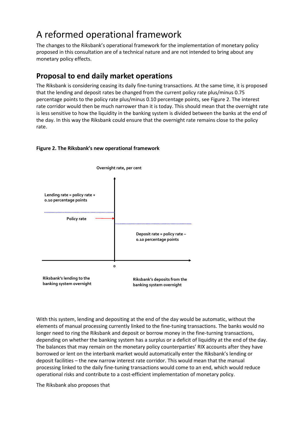# A reformed operational framework

The changes to the Riksbank's operational framework for the implementation of monetary policy proposed in this consultation are of a technical nature and are not intended to bring about any monetary policy effects.

## **Proposal to end daily market operations**

The Riksbank is considering ceasing its daily fine-tuning transactions. At the same time, it is proposed that the lending and deposit rates be changed from the current policy rate plus/minus 0.75 percentage points to the policy rate plus/minus 0.10 percentage points, see Figure 2. The interest rate corridor would then be much narrower than it is today. This should mean that the overnight rate is less sensitive to how the liquidity in the banking system is divided between the banks at the end of the day. In this way the Riksbank could ensure that the overnight rate remains close to the policy rate.



### **Figure 2. The Riksbank's new operational framework**

With this system, lending and depositing at the end of the day would be automatic, without the elements of manual processing currently linked to the fine-tuning transactions. The banks would no longer need to ring the Riksbank and deposit or borrow money in the fine-turning transactions, depending on whether the banking system has a surplus or a deficit of liquidity at the end of the day. The balances that may remain on the monetary policy counterparties' RIX accounts after they have borrowed or lent on the interbank market would automatically enter the Riksbank's lending or deposit facilities – the new narrow interest rate corridor. This would mean that the manual processing linked to the daily fine-tuning transactions would come to an end, which would reduce operational risks and contribute to a cost-efficient implementation of monetary policy.

The Riksbank also proposes that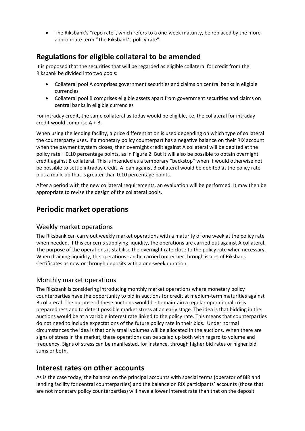• The Riksbank's "repo rate", which refers to a one-week maturity, be replaced by the more appropriate term "The Riksbank's policy rate".

## **Regulations for eligible collateral to be amended**

It is proposed that the securities that will be regarded as eligible collateral for credit from the Riksbank be divided into two pools:

- Collateral pool A comprises government securities and claims on central banks in eligible currencies
- Collateral pool B comprises eligible assets apart from government securities and claims on central banks in eligible currencies

For intraday credit, the same collateral as today would be eligible, i.e. the collateral for intraday credit would comprise A + B.

When using the lending facility, a price differentiation is used depending on which type of collateral the counterparty uses. If a monetary policy counterpart has a negative balance on their RIX account when the payment system closes, then overnight credit against A collateral will be debited at the policy rate + 0.10 percentage points, as in Figure 2. But it will also be possible to obtain overnight credit against B collateral. This is intended as a temporary "backstop" when it would otherwise not be possible to settle intraday credit. A loan against B collateral would be debited at the policy rate plus a mark-up that is greater than 0.10 percentage points.

After a period with the new collateral requirements, an evaluation will be performed. It may then be appropriate to revise the design of the collateral pools.

## **Periodic market operations**

### Weekly market operations

The Riksbank can carry out weekly market operations with a maturity of one week at the policy rate when needed. If this concerns supplying liquidity, the operations are carried out against A collateral. The purpose of the operations is stabilise the overnight rate close to the policy rate when necessary. When draining liquidity, the operations can be carried out either through issues of Riksbank Certificates as now or through deposits with a one-week duration.

### Monthly market operations

The Riksbank is considering introducing monthly market operations where monetary policy counterparties have the opportunity to bid in auctions for credit at medium-term maturities against B collateral. The purpose of these auctions would be to maintain a regular operational crisis preparedness and to detect possible market stress at an early stage. The idea is that bidding in the auctions would be at a variable interest rate linked to the policy rate. This means that counterparties do not need to include expectations of the future policy rate in their bids. Under normal circumstances the idea is that only small volumes will be allocated in the auctions. When there are signs of stress in the market, these operations can be scaled up both with regard to volume and frequency. Signs of stress can be manifested, for instance, through higher bid rates or higher bid sums or both.

### **Interest rates on other accounts**

As is the case today, the balance on the principal accounts with special terms (operator of BiR and lending facility for central counterparties) and the balance on RIX participants' accounts (those that are not monetary policy counterparties) will have a lower interest rate than that on the deposit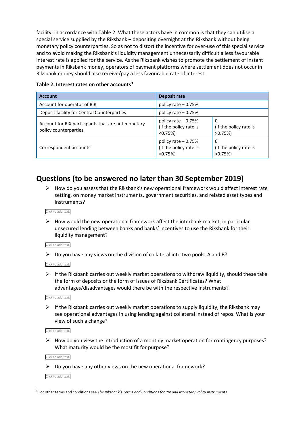facility, in accordance with Table 2. What these actors have in common is that they can utilise a special service supplied by the Riksbank – depositing overnight at the Riksbank without being monetary policy counterparties. So as not to distort the incentive for over-use of this special service and to avoid making the Riksbank's liquidity management unnecessarily difficult a less favourable interest rate is applied for the service. As the Riksbank wishes to promote the settlement of instant payments in Riksbank money, operators of payment platforms where settlement does not occur in Riksbank money should also receive/pay a less favourable rate of interest.

| <b>Account</b>                                                              | Deposit rate                                                 |                                           |
|-----------------------------------------------------------------------------|--------------------------------------------------------------|-------------------------------------------|
| Account for operator of BiR                                                 | policy rate $-0.75%$                                         |                                           |
| Deposit facility for Central Counterparties                                 | policy rate $-0.75%$                                         |                                           |
| Account for RIX participants that are not monetary<br>policy counterparties | policy rate $-0.75%$<br>(if the policy rate is<br>$< 0.75\%$ | 0<br>(if the policy rate is<br>$>0.75\%)$ |
| Correspondent accounts                                                      | policy rate - 0.75%<br>(if the policy rate is<br>$< 0.75\%$  | 0<br>(if the policy rate is<br>$>0.75\%$  |

#### **Table 2. Interest rates on other accounts[3](#page-9-0)**

## **Questions (to be answered no later than 30 September 2019)**

 $\triangleright$  How do you assess that the Riksbank's new operational framework would affect interest rate setting, on money market instruments, government securities, and related asset types and instruments?

#### Click to add text.

 $\triangleright$  How would the new operational framework affect the interbank market, in particular unsecured lending between banks and banks' incentives to use the Riksbank for their liquidity management?

#### Click to add text.

 $\triangleright$  Do you have any views on the division of collateral into two pools, A and B?

Click to add text.

 $\triangleright$  If the Riksbank carries out weekly market operations to withdraw liquidity, should these take the form of deposits or the form of issues of Riksbank Certificates? What advantages/disadvantages would there be with the respective instruments?

Click to add text.

 $\triangleright$  If the Riksbank carries out weekly market operations to supply liquidity, the Riksbank may see operational advantages in using lending against collateral instead of repos. What is your view of such a change?

Click to add text.

 $\triangleright$  How do you view the introduction of a monthly market operation for contingency purposes? What maturity would be the most fit for purpose?

Click to add text.

 $\triangleright$  Do you have any other views on the new operational framework?

Click to add text.

<span id="page-9-0"></span> <sup>3</sup> For other terms and conditions see *The Riksbank's Terms and Conditions for RIX and Monetary Policy Instruments*.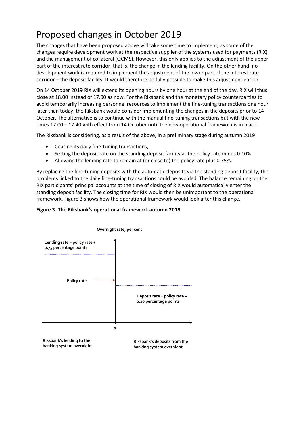# Proposed changes in October 2019

The changes that have been proposed above will take some time to implement, as some of the changes require development work at the respective supplier of the systems used for payments (RIX) and the management of collateral (QCMS). However, this only applies to the adjustment of the upper part of the interest rate corridor, that is, the change in the lending facility. On the other hand, no development work is required to implement the adjustment of the lower part of the interest rate corridor – the deposit facility. It would therefore be fully possible to make this adjustment earlier.

On 14 October 2019 RIX will extend its opening hours by one hour at the end of the day. RIX will thus close at 18.00 instead of 17.00 as now. For the Riksbank and the monetary policy counterparties to avoid temporarily increasing personnel resources to implement the fine-tuning transactions one hour later than today, the Riksbank would consider implementing the changes in the deposits prior to 14 October. The alternative is to continue with the manual fine-tuning transactions but with the new times 17.00 – 17.40 with effect from 14 October until the new operational framework is in place.

The Riksbank is considering, as a result of the above, in a preliminary stage during autumn 2019

- Ceasing its daily fine-tuning transactions,
- Setting the deposit rate on the standing deposit facility at the policy rate minus 0.10%.
- Allowing the lending rate to remain at (or close to) the policy rate plus 0.75%.

By replacing the fine-tuning deposits with the automatic deposits via the standing deposit facility, the problems linked to the daily fine-tuning transactions could be avoided. The balance remaining on the RIX participants' principal accounts at the time of closing of RIX would automatically enter the standing deposit facility. The closing time for RIX would then be unimportant to the operational framework. Figure 3 shows how the operational framework would look after this change.

**banking system overnight**

### **Figure 3. The Riksbank's operational framework autumn 2019**



**Overnight rate, per cent**